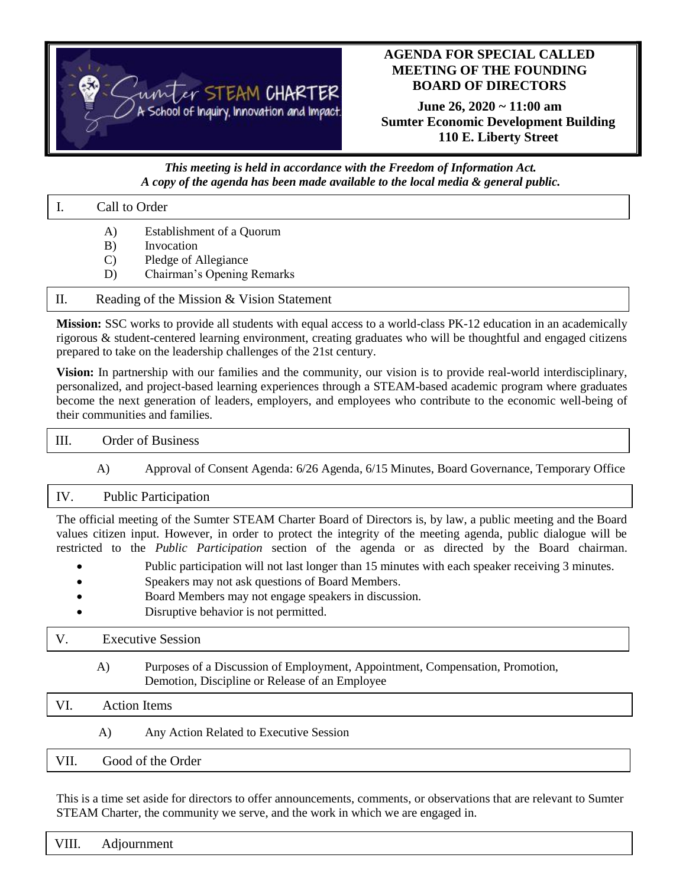

# **AGENDA FOR SPECIAL CALLED MEETING OF THE FOUNDING BOARD OF DIRECTORS**

**June 26, 2020 ~ 11:00 am Sumter Economic Development Building 110 E. Liberty Street**

### *This meeting is held in accordance with the Freedom of Information Act. A copy of the agenda has been made available to the local media & general public.*

|    | Call to Order                             |                                         |  |
|----|-------------------------------------------|-----------------------------------------|--|
|    | A)<br>B)                                  | Establishment of a Quorum<br>Invocation |  |
|    |                                           | Pledge of Allegiance                    |  |
|    | D)                                        | Chairman's Opening Remarks              |  |
| П. | Reading of the Mission & Vision Statement |                                         |  |

**Mission:** SSC works to provide all students with equal access to a world-class PK-12 education in an academically rigorous & student-centered learning environment, creating graduates who will be thoughtful and engaged citizens prepared to take on the leadership challenges of the 21st century.

**Vision:** In partnership with our families and the community, our vision is to provide real-world interdisciplinary, personalized, and project-based learning experiences through a STEAM-based academic program where graduates become the next generation of leaders, employers, and employees who contribute to the economic well-being of their communities and families.

|  | Order of Business                                                                         |  |  |  |  |
|--|-------------------------------------------------------------------------------------------|--|--|--|--|
|  | Approval of Consent Agenda: 6/26 Agenda, 6/15 Minutes, Board Governance, Temporary Office |  |  |  |  |

### IV. Public Participation

The official meeting of the Sumter STEAM Charter Board of Directors is, by law, a public meeting and the Board values citizen input. However, in order to protect the integrity of the meeting agenda, public dialogue will be restricted to the *Public Participation* section of the agenda or as directed by the Board chairman.

- Public participation will not last longer than 15 minutes with each speaker receiving 3 minutes.
- Speakers may not ask questions of Board Members.
- Board Members may not engage speakers in discussion.
- Disruptive behavior is not permitted.

# V. Executive Session

A) Purposes of a Discussion of Employment, Appointment, Compensation, Promotion, Demotion, Discipline or Release of an Employee

# VI. Action Items

A) Any Action Related to Executive Session

# VII. Good of the Order

This is a time set aside for directors to offer announcements, comments, or observations that are relevant to Sumter STEAM Charter, the community we serve, and the work in which we are engaged in.

|  | VIII. Adjournment |  |  |  |  |
|--|-------------------|--|--|--|--|
|--|-------------------|--|--|--|--|